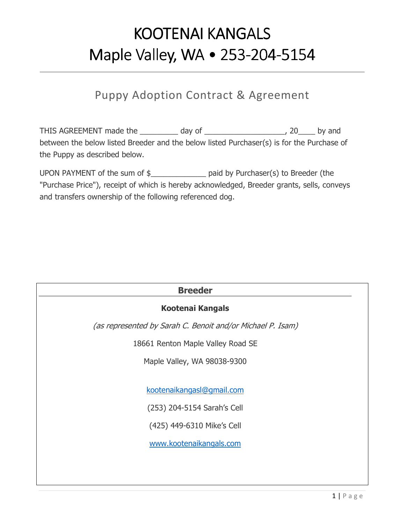# KOOTENAI KANGALS Maple Valley, WA • 253-204-5154

# Puppy Adoption Contract & Agreement

THIS AGREEMENT made the \_\_\_\_\_\_\_\_\_ day of \_\_\_\_\_\_\_\_\_\_\_\_\_\_\_\_\_\_\_, 20\_\_\_\_ by and between the below listed Breeder and the below listed Purchaser(s) is for the Purchase of the Puppy as described below.

UPON PAYMENT of the sum of \$\_\_\_\_\_\_\_\_\_\_\_\_\_ paid by Purchaser(s) to Breeder (the "Purchase Price"), receipt of which is hereby acknowledged, Breeder grants, sells, conveys and transfers ownership of the following referenced dog.

| <b>Breeder</b>                                             |  |  |
|------------------------------------------------------------|--|--|
| <b>Kootenai Kangals</b>                                    |  |  |
| (as represented by Sarah C. Benoit and/or Michael P. Isam) |  |  |
| 18661 Renton Maple Valley Road SE                          |  |  |
| Maple Valley, WA 98038-9300                                |  |  |
|                                                            |  |  |
| kootenaikangasl@gmail.com                                  |  |  |
| (253) 204-5154 Sarah's Cell                                |  |  |
| (425) 449-6310 Mike's Cell                                 |  |  |
| www.kootenaikangals.com                                    |  |  |
|                                                            |  |  |
|                                                            |  |  |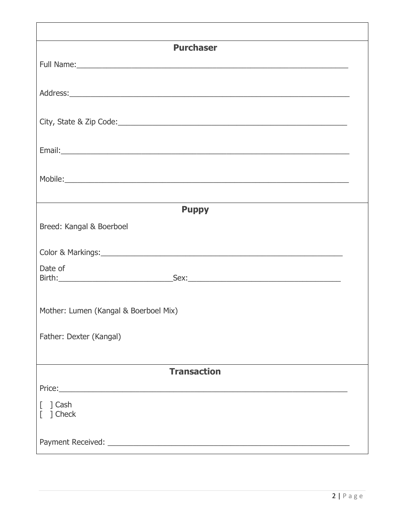| <b>Purchaser</b>                                                                                                                                                                                                               |  |  |
|--------------------------------------------------------------------------------------------------------------------------------------------------------------------------------------------------------------------------------|--|--|
|                                                                                                                                                                                                                                |  |  |
|                                                                                                                                                                                                                                |  |  |
|                                                                                                                                                                                                                                |  |  |
|                                                                                                                                                                                                                                |  |  |
|                                                                                                                                                                                                                                |  |  |
|                                                                                                                                                                                                                                |  |  |
|                                                                                                                                                                                                                                |  |  |
| Mobile: Now and the second contract of the second contract of the second contract of the second contract of the second contract of the second contract of the second contract of the second contract of the second contract of |  |  |
|                                                                                                                                                                                                                                |  |  |
| <b>Puppy</b>                                                                                                                                                                                                                   |  |  |
| Breed: Kangal & Boerboel                                                                                                                                                                                                       |  |  |
|                                                                                                                                                                                                                                |  |  |
| Date of                                                                                                                                                                                                                        |  |  |
|                                                                                                                                                                                                                                |  |  |
|                                                                                                                                                                                                                                |  |  |
| Mother: Lumen (Kangal & Boerboel Mix)                                                                                                                                                                                          |  |  |
| Father: Dexter (Kangal)                                                                                                                                                                                                        |  |  |
|                                                                                                                                                                                                                                |  |  |
| <b>Transaction</b>                                                                                                                                                                                                             |  |  |
|                                                                                                                                                                                                                                |  |  |
| $[$ ] Cash                                                                                                                                                                                                                     |  |  |
| ] Check                                                                                                                                                                                                                        |  |  |
|                                                                                                                                                                                                                                |  |  |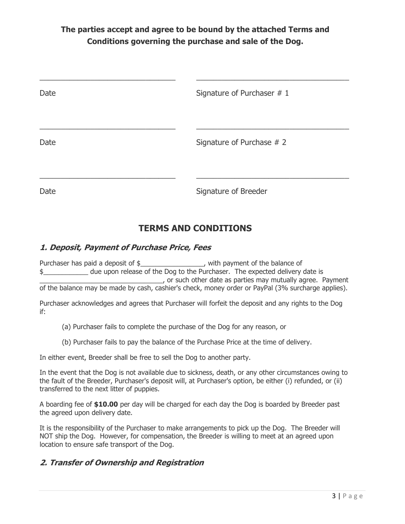# **The parties accept and agree to be bound by the attached Terms and Conditions governing the purchase and sale of the Dog.**

| Date | Signature of Purchaser # 1 |
|------|----------------------------|
| Date | Signature of Purchase # 2  |
| Date | Signature of Breeder       |

# **TERMS AND CONDITIONS**

#### **1. Deposit, Payment of Purchase Price, Fees**

Purchaser has paid a deposit of \$\_\_\_\_\_\_\_\_\_\_\_\_\_\_\_\_\_\_, with payment of the balance of \$\_\_\_\_\_\_\_\_\_\_\_\_ due upon release of the Dog to the Purchaser. The expected delivery date is  $\Box$ , or such other date as parties may mutually agree. Payment of the balance may be made by cash, cashier's check, money order or PayPal (3% surcharge applies).

Purchaser acknowledges and agrees that Purchaser will forfeit the deposit and any rights to the Dog if:

(a) Purchaser fails to complete the purchase of the Dog for any reason, or

(b) Purchaser fails to pay the balance of the Purchase Price at the time of delivery.

In either event, Breeder shall be free to sell the Dog to another party.

In the event that the Dog is not available due to sickness, death, or any other circumstances owing to the fault of the Breeder, Purchaser's deposit will, at Purchaser's option, be either (i) refunded, or (ii) transferred to the next litter of puppies.

A boarding fee of **\$10.00** per day will be charged for each day the Dog is boarded by Breeder past the agreed upon delivery date.

It is the responsibility of the Purchaser to make arrangements to pick up the Dog. The Breeder will NOT ship the Dog. However, for compensation, the Breeder is willing to meet at an agreed upon location to ensure safe transport of the Dog.

# **2. Transfer of Ownership and Registration**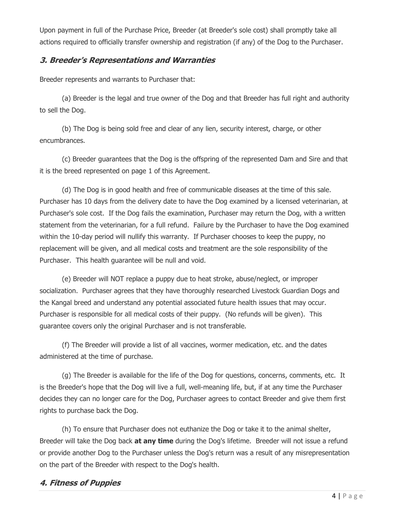Upon payment in full of the Purchase Price, Breeder (at Breeder's sole cost) shall promptly take all actions required to officially transfer ownership and registration (if any) of the Dog to the Purchaser.

#### **3. Breeder's Representations and Warranties**

Breeder represents and warrants to Purchaser that:

 (a) Breeder is the legal and true owner of the Dog and that Breeder has full right and authority to sell the Dog.

 (b) The Dog is being sold free and clear of any lien, security interest, charge, or other encumbrances.

 (c) Breeder guarantees that the Dog is the offspring of the represented Dam and Sire and that it is the breed represented on page 1 of this Agreement.

 (d) The Dog is in good health and free of communicable diseases at the time of this sale. Purchaser has 10 days from the delivery date to have the Dog examined by a licensed veterinarian, at Purchaser's sole cost. If the Dog fails the examination, Purchaser may return the Dog, with a written statement from the veterinarian, for a full refund. Failure by the Purchaser to have the Dog examined within the 10-day period will nullify this warranty. If Purchaser chooses to keep the puppy, no replacement will be given, and all medical costs and treatment are the sole responsibility of the Purchaser. This health guarantee will be null and void.

 (e) Breeder will NOT replace a puppy due to heat stroke, abuse/neglect, or improper socialization. Purchaser agrees that they have thoroughly researched Livestock Guardian Dogs and the Kangal breed and understand any potential associated future health issues that may occur. Purchaser is responsible for all medical costs of their puppy. (No refunds will be given). This guarantee covers only the original Purchaser and is not transferable.

 (f) The Breeder will provide a list of all vaccines, wormer medication, etc. and the dates administered at the time of purchase.

 (g) The Breeder is available for the life of the Dog for questions, concerns, comments, etc. It is the Breeder's hope that the Dog will live a full, well-meaning life, but, if at any time the Purchaser decides they can no longer care for the Dog, Purchaser agrees to contact Breeder and give them first rights to purchase back the Dog.

 (h) To ensure that Purchaser does not euthanize the Dog or take it to the animal shelter, Breeder will take the Dog back **at any time** during the Dog's lifetime. Breeder will not issue a refund or provide another Dog to the Purchaser unless the Dog's return was a result of any misrepresentation on the part of the Breeder with respect to the Dog's health.

#### **4. Fitness of Puppies**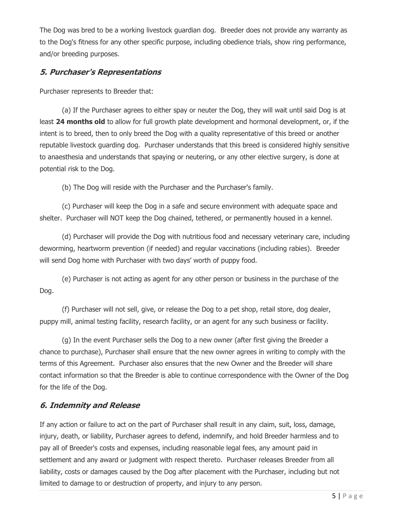The Dog was bred to be a working livestock guardian dog. Breeder does not provide any warranty as to the Dog's fitness for any other specific purpose, including obedience trials, show ring performance, and/or breeding purposes.

# **5. Purchaser's Representations**

Purchaser represents to Breeder that:

 (a) If the Purchaser agrees to either spay or neuter the Dog, they will wait until said Dog is at least **24 months old** to allow for full growth plate development and hormonal development, or, if the intent is to breed, then to only breed the Dog with a quality representative of this breed or another reputable livestock guarding dog. Purchaser understands that this breed is considered highly sensitive to anaesthesia and understands that spaying or neutering, or any other elective surgery, is done at potential risk to the Dog.

(b) The Dog will reside with the Purchaser and the Purchaser's family.

 (c) Purchaser will keep the Dog in a safe and secure environment with adequate space and shelter. Purchaser will NOT keep the Dog chained, tethered, or permanently housed in a kennel.

 (d) Purchaser will provide the Dog with nutritious food and necessary veterinary care, including deworming, heartworm prevention (if needed) and regular vaccinations (including rabies). Breeder will send Dog home with Purchaser with two days' worth of puppy food.

 (e) Purchaser is not acting as agent for any other person or business in the purchase of the Dog.

 (f) Purchaser will not sell, give, or release the Dog to a pet shop, retail store, dog dealer, puppy mill, animal testing facility, research facility, or an agent for any such business or facility.

 (g) In the event Purchaser sells the Dog to a new owner (after first giving the Breeder a chance to purchase), Purchaser shall ensure that the new owner agrees in writing to comply with the terms of this Agreement. Purchaser also ensures that the new Owner and the Breeder will share contact information so that the Breeder is able to continue correspondence with the Owner of the Dog for the life of the Dog.

# **6. Indemnity and Release**

If any action or failure to act on the part of Purchaser shall result in any claim, suit, loss, damage, injury, death, or liability, Purchaser agrees to defend, indemnify, and hold Breeder harmless and to pay all of Breeder's costs and expenses, including reasonable legal fees, any amount paid in settlement and any award or judgment with respect thereto. Purchaser releases Breeder from all liability, costs or damages caused by the Dog after placement with the Purchaser, including but not limited to damage to or destruction of property, and injury to any person.